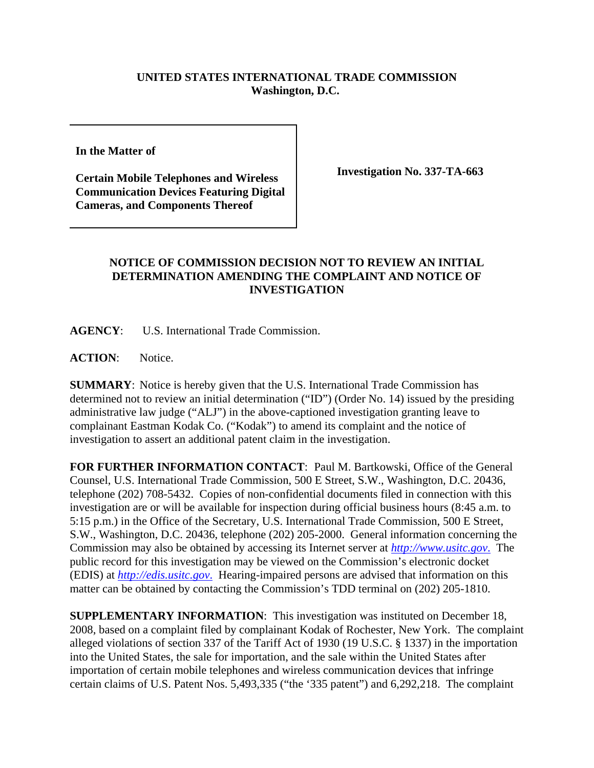## **UNITED STATES INTERNATIONAL TRADE COMMISSION Washington, D.C.**

**In the Matter of** 

**Certain Mobile Telephones and Wireless Communication Devices Featuring Digital Cameras, and Components Thereof**

**Investigation No. 337-TA-663**

## **NOTICE OF COMMISSION DECISION NOT TO REVIEW AN INITIAL DETERMINATION AMENDING THE COMPLAINT AND NOTICE OF INVESTIGATION**

**AGENCY**: U.S. International Trade Commission.

**ACTION**: Notice.

**SUMMARY**: Notice is hereby given that the U.S. International Trade Commission has determined not to review an initial determination ("ID") (Order No. 14) issued by the presiding administrative law judge ("ALJ") in the above-captioned investigation granting leave to complainant Eastman Kodak Co. ("Kodak") to amend its complaint and the notice of investigation to assert an additional patent claim in the investigation.

**FOR FURTHER INFORMATION CONTACT**: Paul M. Bartkowski, Office of the General Counsel, U.S. International Trade Commission, 500 E Street, S.W., Washington, D.C. 20436, telephone (202) 708-5432. Copies of non-confidential documents filed in connection with this investigation are or will be available for inspection during official business hours (8:45 a.m. to 5:15 p.m.) in the Office of the Secretary, U.S. International Trade Commission, 500 E Street, S.W., Washington, D.C. 20436, telephone (202) 205-2000. General information concerning the Commission may also be obtained by accessing its Internet server at *http://www.usitc.gov*. The public record for this investigation may be viewed on the Commission's electronic docket (EDIS) at *http://edis.usitc.gov*. Hearing-impaired persons are advised that information on this matter can be obtained by contacting the Commission's TDD terminal on (202) 205-1810.

**SUPPLEMENTARY INFORMATION**: This investigation was instituted on December 18, 2008, based on a complaint filed by complainant Kodak of Rochester, New York. The complaint alleged violations of section 337 of the Tariff Act of 1930 (19 U.S.C. § 1337) in the importation into the United States, the sale for importation, and the sale within the United States after importation of certain mobile telephones and wireless communication devices that infringe certain claims of U.S. Patent Nos. 5,493,335 ("the '335 patent") and 6,292,218. The complaint